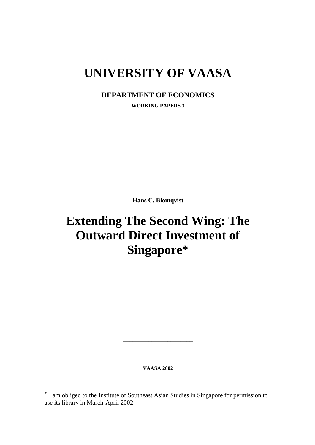## **UNIVERSITY OF VAASA**

**DEPARTMENT OF ECONOMICS**

**WORKING PAPERS 3**

**Hans C. Blomqvist**

# **Extending The Second Wing: The Outward Direct Investment of Singapore\***

**VAASA 2002**

**\_\_\_\_\_\_\_\_\_\_\_\_\_\_\_\_\_\_\_\_\_\_**

\* I am obliged to the Institute of Southeast Asian Studies in Singapore for permission to use its library in March-April 2002.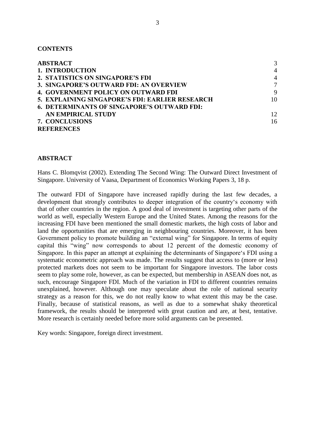#### **CONTENTS**

| <b>ABSTRACT</b>                                    | 3              |
|----------------------------------------------------|----------------|
| 1. INTRODUCTION                                    | $\overline{4}$ |
| 2. STATISTICS ON SINGAPORE'S FDI                   | $\overline{A}$ |
| 3. SINGAPORE'S OUTWARD FDI: AN OVERVIEW            | $\tau$         |
| <b>4. GOVERNMENT POLICY ON OUTWARD FDI</b>         | 9              |
| 5. EXPLAINING SINGAPORE'S FDI: EARLIER RESEARCH    | 10             |
| <b>6. DETERMINANTS OF SINGAPORE'S OUTWARD FDI:</b> |                |
| AN EMPIRICAL STUDY                                 | 12             |
| 7. CONCLUSIONS                                     | 16             |
| <b>REFERENCES</b>                                  |                |

## **ABSTRACT**

Hans C. Blomqvist (2002). Extending The Second Wing: The Outward Direct Investment of Singapore. University of Vaasa, Department of Economics Working Papers 3, 18 p.

The outward FDI of Singapore have increased rapidly during the last few decades, a development that strongly contributes to deeper integration of the country's economy with that of other countries in the region. A good deal of investment is targeting other parts of the world as well, especially Western Europe and the United States. Among the reasons for the increasing FDI have been mentioned the small domestic markets, the high costs of labor and land the opportunities that are emerging in neighbouring countries. Moreover, it has been Government policy to promote building an "external wing" for Singapore. In terms of equity capital this "wing" now corresponds to about 12 percent of the domestic economy of Singapore. In this paper an attempt at explaining the determinants of Singapore's FDI using a systematic econometric approach was made. The results suggest that access to (more or less) protected markets does not seem to be important for Singapore investors. The labor costs seem to play some role, however, as can be expected, but membership in ASEAN does not, as such, encourage Singapore FDI. Much of the variation in FDI to different countries remains unexplained, however. Although one may speculate about the role of national security strategy as a reason for this, we do not really know to what extent this may be the case. Finally, because of statistical reasons, as well as due to a somewhat shaky theoretical framework, the results should be interpreted with great caution and are, at best, tentative. More research is certainly needed before more solid arguments can be presented.

Key words: Singapore, foreign direct investment.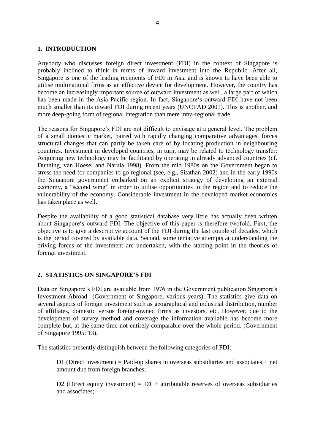#### **1. INTRODUCTION**

Anybody who discusses foreign direct investment (FDI) in the context of Singapore is probably inclined to think in terms of inward investment into the Republic. After all, Singapore is one of the leading recipients of FDI in Asia and is known to have been able to utilise multinational firms as an effective device for development. However, the country has become an increasingly important source of outward investment as well, a large part of which has been made in the Asia Pacific region. In fact, Singapore's outward FDI have not been much smaller than its inward FDI during recent years (UNCTAD 2001). This is another, and more deep-going form of regional integration than mere intra-regional trade.

The reasons for Singapore's FDI are not difficult to envisage at a general level. The problem of a small domestic market, paired with rapidly changing comparative advantages, forces structural changes that can partly be taken care of by locating production in neighbouring countries. Investment in developed countries, in turn, may be related to technology transfer: Acquiring new technology may be facilitated by operating in already advanced countries (cf. Dunning, van Hoesel and Narula 1998). From the mid 1980s on the Government began to stress the need for companies to go regional (see, e.g., Sitathan 2002) and in the early 1990s the Singapore government embarked on an explicit strategy of developing an external economy, a "second wing" in order to utilise opportunities in the region and to reduce the vulnerability of the economy. Considerable investment in the developed market economies has taken place as well.

Despite the availability of a good statistical database very little has actually been written about Singapore's outward FDI. The objective of this paper is therefore twofold. First, the objective is to give a descriptive account of the FDI during the last couple of decades, which is the period covered by available data. Second, some tentative attempts at understanding the driving forces of the investment are undertaken, with the starting point in the theories of foreign investment.

## **2. STATISTICS ON SINGAPORE'S FDI**

Data on Singapore's FDI are available from 1976 in the Government publication Singapore's Investment Abroad (Government of Singapore, various years). The statistics give data on several aspects of foreign investment such as geographical and industrial distribution, number of affiliates, domestic versus foreign-owned firms as investors, etc. However, due to the development of survey method and coverage the information available has become more complete but, at the same time not entirely comparable over the whole period. (Government of Singapore 1995: 13).

The statistics presently distinguish between the following categories of FDI:

D1 (Direct investment) = Paid-up shares in overseas subsidiaries and associates  $+$  net amount due from foreign branches;

D2 (Direct equity investment) =  $D1$  + attributable reserves of overseas subsidiaries and associates;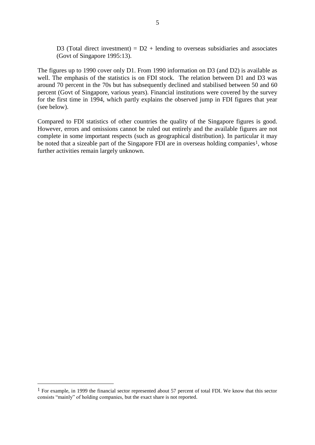D3 (Total direct investment) =  $D2$  + lending to overseas subsidiaries and associates (Govt of Singapore 1995:13).

The figures up to 1990 cover only D1. From 1990 information on D3 (and D2) is available as well. The emphasis of the statistics is on FDI stock. The relation between D1 and D3 was around 70 percent in the 70s but has subsequently declined and stabilised between 50 and 60 percent (Govt of Singapore, various years). Financial institutions were covered by the survey for the first time in 1994, which partly explains the observed jump in FDI figures that year (see below).

Compared to FDI statistics of other countries the quality of the Singapore figures is good. However, errors and omissions cannot be ruled out entirely and the available figures are not complete in some important respects (such as geographical distribution). In particular it may be noted that a sizeable part of the Singapore FDI are in overseas holding companies<sup>1</sup>, whose further activities remain largely unknown.

<sup>1</sup> For example, in 1999 the financial sector represented about 57 percent of total FDI. We know that this sector consists "mainly" of holding companies, but the exact share is not reported.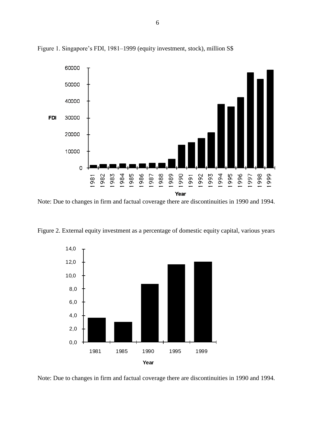

Figure 1. Singapore's FDI, 1981–1999 (equity investment, stock), million S\$

Note: Due to changes in firm and factual coverage there are discontinuities in 1990 and 1994.

Figure 2. External equity investment as a percentage of domestic equity capital, various years



Note: Due to changes in firm and factual coverage there are discontinuities in 1990 and 1994.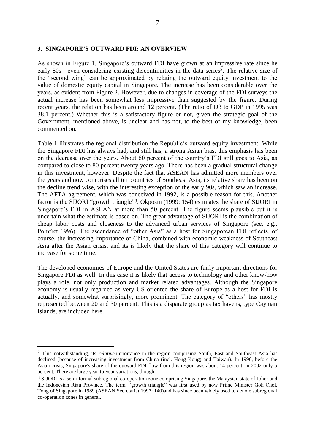#### **3. SINGAPORE'S OUTWARD FDI: AN OVERVIEW**

As shown in Figure 1, Singapore's outward FDI have grown at an impressive rate since he early 80s—even considering existing discontinuities in the data series<sup>2</sup>. The relative size of the "second wing" can be approximated by relating the outward equity investment to the value of domestic equity capital in Singapore. The increase has been considerable over the years, as evident from Figure 2. However, due to changes in coverage of the FDI surveys the actual increase has been somewhat less impressive than suggested by the figure. During recent years, the relation has been around 12 percent. (The ratio of D3 to GDP in 1995 was 38.1 percent.) Whether this is a satisfactory figure or not, given the strategic goal of the Government, mentioned above, is unclear and has not, to the best of my knowledge, been commented on.

Table 1 illustrates the regional distribution the Republic's outward equity investment. While the Singapore FDI has always had, and still has, a strong Asian bias, this emphasis has been on the decrease over the years. About 60 percent of the country's FDI still goes to Asia, as compared to close to 80 percent twenty years ago. There has been a gradual structural change in this investment, however. Despite the fact that ASEAN has admitted more members over the years and now comprises all ten countries of Southeast Asia, its relative share has been on the decline trend wise, with the interesting exception of the early 90s, which saw an increase. The AFTA agreement, which was conceived in 1992, is a possible reason for this. Another factor is the SIJORI "growth triangle"<sup>3</sup>. Okposin (1999: 154) estimates the share of SIJORI in Singapore's FDI in ASEAN at more than 50 percent. The figure seems plausible but it is uncertain what the estimate is based on. The great advantage of SIJORI is the combination of cheap labor costs and closeness to the advanced urban services of Singapore (see, e.g., Pomfret 1996). The ascendance of "other Asia" as a host for Singaporean FDI reflects, of course, the increasing importance of China, combined with economic weakness of Southeast Asia after the Asian crisis, and its is likely that the share of this category will continue to increase for some time.

The developed economies of Europe and the United States are fairly important directions for Singapore FDI as well. In this case it is likely that access to technology and other know-how plays a role, not only production and market related advantages. Although the Singapore economy is usually regarded as very US oriented the share of Europe as a host for FDI is actually, and somewhat surprisingly, more prominent. The category of "others" has mostly represented between 20 and 30 percent. This is a disparate group as tax havens, type Cayman Islands, are included here.

<sup>2</sup> This notwithstanding, its *relative* importance in the region comprising South, East and Southeast Asia has declined (because of increasing investment from China (incl. Hong Kong) and Taiwan). In 1996, before the Asian crisis, Singapore's share of the outward FDI flow from this region was about 14 percent. in 2002 only 5 percent. There are large year-to-year variations, though.

<sup>3</sup> SIJORI is a semi-formal subregional co-operation zone comprising Singapore, the Malaysian state of Johor and the Indonesian Riau Province. The term, "growth triangle" was first used by now Prime Minister Goh Chok Tong of Singapore in 1989 (ASEAN Secretariat 1997: 140)and has since been widely used to denote subregional co-operation zones in general.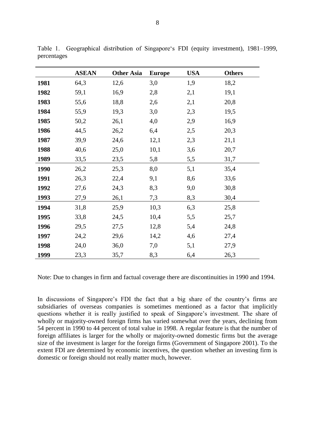|      | <b>ASEAN</b> | <b>Other Asia</b> | <b>Europe</b> | <b>USA</b> | <b>Others</b> |
|------|--------------|-------------------|---------------|------------|---------------|
| 1981 | 64,3         | 12,6              | 3,0           | 1,9        | 18,2          |
| 1982 | 59,1         | 16,9              | 2,8           | 2,1        | 19,1          |
| 1983 | 55,6         | 18,8              | 2,6           | 2,1        | 20,8          |
| 1984 | 55,9         | 19,3              | 3,0           | 2,3        | 19,5          |
| 1985 | 50,2         | 26,1              | 4,0           | 2,9        | 16,9          |
| 1986 | 44,5         | 26,2              | 6,4           | 2,5        | 20,3          |
| 1987 | 39,9         | 24,6              | 12,1          | 2,3        | 21,1          |
| 1988 | 40,6         | 25,0              | 10,1          | 3,6        | 20,7          |
| 1989 | 33,5         | 23,5              | 5,8           | 5,5        | 31,7          |
| 1990 | 26,2         | 25,3              | 8,0           | 5,1        | 35,4          |
| 1991 | 26,3         | 22,4              | 9,1           | 8,6        | 33,6          |
| 1992 | 27,6         | 24,3              | 8,3           | 9,0        | 30,8          |
| 1993 | 27,9         | 26,1              | 7,3           | 8,3        | 30,4          |
| 1994 | 31,8         | 25,9              | 10,3          | 6,3        | 25,8          |
| 1995 | 33,8         | 24,5              | 10,4          | 5,5        | 25,7          |
| 1996 | 29,5         | 27,5              | 12,8          | 5,4        | 24,8          |
| 1997 | 24,2         | 29,6              | 14,2          | 4,6        | 27,4          |
| 1998 | 24,0         | 36,0              | 7,0           | 5,1        | 27,9          |
| 1999 | 23,3         | 35,7              | 8,3           | 6,4        | 26,3          |

Table 1. Geographical distribution of Singapore's FDI (equity investment), 1981–1999, percentages

Note: Due to changes in firm and factual coverage there are discontinuities in 1990 and 1994.

In discussions of Singapore's FDI the fact that a big share of the country's firms are subsidiaries of overseas companies is sometimes mentioned as a factor that implicitly questions whether it is really justified to speak of Singapore's investment. The share of wholly or majority-owned foreign firms has varied somewhat over the years, declining from 54 percent in 1990 to 44 percent of total value in 1998. A regular feature is that the number of foreign affiliates is larger for the wholly or majority-owned domestic firms but the average size of the investment is larger for the foreign firms (Government of Singapore 2001). To the extent FDI are determined by economic incentives, the question whether an investing firm is domestic or foreign should not really matter much, however.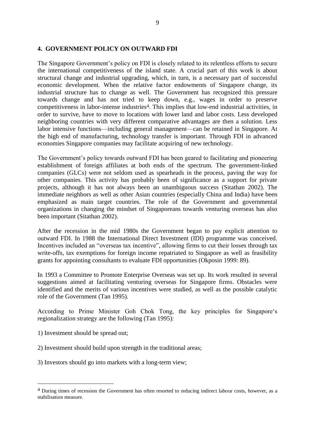## **4. GOVERNMENT POLICY ON OUTWARD FDI**

The Singapore Government's policy on FDI is closely related to its relentless efforts to secure the international competitiveness of the island state. A crucial part of this work is about structural change and industrial upgrading, which, in turn, is a necessary part of successful economic development. When the relative factor endowments of Singapore change, its industrial structure has to change as well. The Government has recognized this pressure towards change and has not tried to keep down, e.g., wages in order to preserve competitiveness in labor-intense industries<sup>4</sup>. This implies that low-end industrial activities, in order to survive, have to move to locations with lower land and labor costs. Less developed neighboring countries with very different comparative advantages are then a solution. Less labor intensive functions—including general management—can be retained in Singapore. At the high end of manufacturing, technology transfer is important. Through FDI in advanced economies Singapore companies may facilitate acquiring of new technology.

The Government's policy towards outward FDI has been geared to facilitating and pioneering establishment of foreign affiliates at both ends of the spectrum. The government-linked companies (GLCs) were not seldom used as spearheads in the process, paving the way for other companies. This activity has probably been of significance as a support for private projects, although it has not always been an unambiguous success (Sitathan 2002). The immediate neighbors as well as other Asian countries (especially China and India) have been emphasized as main target countries. The role of the Government and governmental organizations in changing the mindset of Singaporeans towards venturing overseas has also been important (Sitathan 2002).

After the recession in the mid 1980s the Government began to pay explicit attention to outward FDI. In 1988 the International Direct Investment (IDI) programme was conceived. Incentives included an "overseas tax incentive", allowing firms to cut their losses through tax write-offs, tax exemptions for foreign income repatriated to Singapore as well as feasibility grants for appointing consultants to evaluate FDI opportunities (Okposin 1999: 89).

In 1993 a Committee to Promote Enterprise Overseas was set up. Its work resulted in several suggestions aimed at facilitating venturing overseas for Singapore firms. Obstacles were identified and the merits of various incentives were studied, as well as the possible catalytic role of the Government (Tan 1995).

According to Prime Minister Goh Chok Tong, the key principles for Singapore's regionalization strategy are the following (Tan 1995):

1) Investment should be spread out;

- 2) Investment should build upon strength in the traditional areas;
- 3) Investors should go into markets with a long-term view;

<sup>&</sup>lt;sup>4</sup> During times of recession the Government has often resorted to reducing indirect labour costs, however, as a stabilisation measure.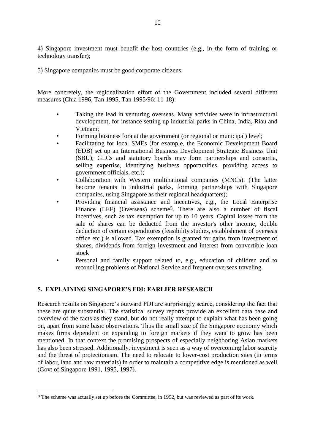4) Singapore investment must benefit the host countries (e.g., in the form of training or technology transfer);

5) Singapore companies must be good corporate citizens.

More concretely, the regionalization effort of the Government included several different measures (Chia 1996, Tan 1995, Tan 1995/96: 11-18):

- Taking the lead in venturing overseas. Many activities were in infrastructural development, for instance setting up industrial parks in China, India, Riau and Vietnam;
- Forming business fora at the government (or regional or municipal) level;
- Facilitating for local SMEs (for example, the Economic Development Board (EDB) set up an International Business Development Strategic Business Unit (SBU); GLCs and statutory boards may form partnerships and consortia, selling expertise, identifying business opportunities, providing access to government officials, etc.);
- Collaboration with Western multinational companies (MNCs). (The latter become tenants in industrial parks, forming partnerships with Singapore companies, using Singapore as their regional headquarters);
- Providing financial assistance and incentives, e.g., the Local Enterprise Finance (LEF) (Overseas) scheme<sup>5</sup>. There are also a number of fiscal incentives, such as tax exemption for up to 10 years. Capital losses from the sale of shares can be deducted from the investor's other income, double deduction of certain expenditures (feasibility studies, establishment of overseas office etc.) is allowed. Tax exemption is granted for gains from investment of shares, dividends from foreign investment and interest from convertible loan stock
- Personal and family support related to, e.g., education of children and to reconciling problems of National Service and frequent overseas traveling.

## **5. EXPLAINING SINGAPORE'S FDI: EARLIER RESEARCH**

 $\overline{a}$ 

Research results on Singapore's outward FDI are surprisingly scarce, considering the fact that these are quite substantial. The statistical survey reports provide an excellent data base and overview of the facts as they stand, but do not really attempt to explain what has been going on, apart from some basic observations. Thus the small size of the Singapore economy which makes firms dependent on expanding to foreign markets if they want to grow has been mentioned. In that context the promising prospects of especially neighboring Asian markets has also been stressed. Additionally, investment is seen as a way of overcoming labor scarcity and the threat of protectionism. The need to relocate to lower-cost production sites (in terms of labor, land and raw materials) in order to maintain a competitive edge is mentioned as well (Govt of Singapore 1991, 1995, 1997).

<sup>5</sup> The scheme was actually set up before the Committee, in 1992, but was reviewed as part of its work.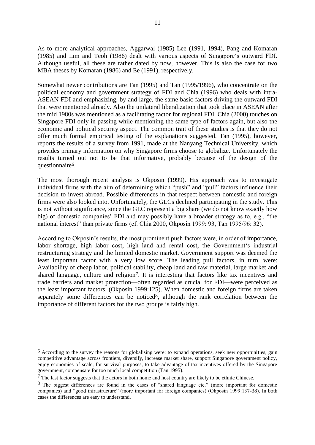As to more analytical approaches, Aggarwal (1985) Lee (1991, 1994), Pang and Komaran (1985) and Lim and Teoh (1986) dealt with various aspects of Singapore‗s outward FDI. Although useful, all these are rather dated by now, however. This is also the case for two MBA theses by Komaran (1986) and Ee (1991), respectively.

Somewhat newer contributions are Tan (1995) and Tan (1995/1996), who concentrate on the political economy and government strategy of FDI and Chia (1996) who deals with intra-ASEAN FDI and emphasizing, by and large, the same basic factors driving the outward FDI that were mentioned already. Also the unilateral liberalization that took place in ASEAN after the mid 1980s was mentioned as a facilitating factor for regional FDI. Chia (2000) touches on Singapore FDI only in passing while mentioning the same type of factors again, but also the economic and political security aspect. The common trait of these studies is that they do not offer much formal empirical testing of the explanations suggested. Tan (1995), however, reports the results of a survey from 1991, made at the Nanyang Technical University, which provides primary information on why Singapore firms choose to globalize. Unfortunately the results turned out not to be that informative, probably because of the design of the questionnaire6.

The most thorough recent analysis is Okposin (1999). His approach was to investigate individual firms with the aim of determining which "push" and "pull" factors influence their decision to invest abroad. Possible differences in that respect between domestic and foreign firms were also looked into. Unfortunately, the GLCs declined participating in the study. This is not without significance, since the GLC represent a big share (we do not know exactly how big) of domestic companies' FDI and may possibly have a broader strategy as to, e.g., "the national interest" than private firms (cf. Chia 2000, Okposin 1999: 93, Tan 1995/96: 32).

According to Okposin's results, the most prominent push factors were, in order of importance, labor shortage, high labor cost, high land and rental cost, the Government's industrial restructuring strategy and the limited domestic market. Government support was deemed the least important factor with a very low score. The leading pull factors, in turn, were: Availability of cheap labor, political stability, cheap land and raw material, large market and shared language, culture and religion<sup>7</sup>. It is interesting that factors like tax incentives and trade barriers and market protection—often regarded as crucial for FDI—were perceived as the least important factors. (Okposin 1999:125). When domestic and foreign firms are taken separately some differences can be noticed<sup>8</sup>, although the rank correlation between the importance of different factors for the two groups is fairly high.

<sup>6</sup> According to the survey the reasons for globalising were: to expand operations, seek new opportunities, gain competitive advantage across frontiers, diversify, increase market share, support Singapore government policy, enjoy economies of scale, for survival purposes, to take advantage of tax incentives offered by the Singapore government, compensate for too much local competition (Tan 1995).

<sup>7</sup> The last factor suggests that the actors in both home and host country are likely to be ethnic Chinese.

<sup>&</sup>lt;sup>8</sup> The biggest differences are found in the cases of "shared language etc." (more important for domestic companies) and "good infrastructure" (more important for foreign companies) (Okposin 1999:137-38). In both cases the differences are easy to understand.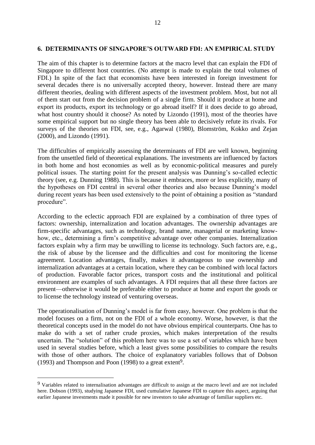#### **6. DETERMINANTS OF SINGAPORE'S OUTWARD FDI: AN EMPIRICAL STUDY**

The aim of this chapter is to determine factors at the macro level that can explain the FDI of Singapore to different host countries. (No attempt is made to explain the total volumes of FDI.) In spite of the fact that economists have been interested in foreign investment for several decades there is no universally accepted theory, however. Instead there are many different theories, dealing with different aspects of the investment problem. Most, but not all of them start out from the decision problem of a single firm. Should it produce at home and export its products, export its technology or go abroad itself? If it does decide to go abroad, what host country should it choose? As noted by Lizondo (1991), most of the theories have some empirical support but no single theory has been able to decisively refute its rivals. For surveys of the theories on FDI, see, e.g., Agarwal (1980), Blomström, Kokko and Zejan (2000), and Lizondo (1991).

The difficulties of empirically assessing the determinants of FDI are well known, beginning from the unsettled field of theoretical explanations. The investments are influenced by factors in both home and host economies as well as by economic-political measures and purely political issues. The starting point for the present analysis was Dunning's so-called eclectic theory (see, e.g. Dunning 1988). This is because it embraces, more or less explicitly, many of the hypotheses on FDI central in several other theories and also because Dunning's model during recent years has been used extensively to the point of obtaining a position as "standard" procedure".

According to the eclectic approach FDI are explained by a combination of three types of factors: ownership, internalization and location advantages. The ownership advantages are firm-specific advantages, such as technology, brand name, managerial or marketing knowhow, etc., determining a firm's competitive advantage over other companies. Internalization factors explain why a firm may be unwilling to license its technology. Such factors are, e.g., the risk of abuse by the licensee and the difficulties and cost for monitoring the license agreement. Location advantages, finally, makes it advantageous to use ownership and internalization advantages at a certain location, where they can be combined with local factors of production. Favorable factor prices, transport costs and the institutional and political environment are examples of such advantages. A FDI requires that all these three factors are present—otherwise it would be preferable either to produce at home and export the goods or to license the technology instead of venturing overseas.

The operationalisation of Dunning's model is far from easy, however. One problem is that the model focuses on a firm, not on the FDI of a whole economy. Worse, however, is that the theoretical concepts used in the model do not have obvious empirical counterparts. One has to make do with a set of rather crude proxies, which makes interpretation of the results uncertain. The "solution" of this problem here was to use a set of variables which have been used in several studies before, which a least gives some possibilities to compare the results with those of other authors. The choice of explanatory variables follows that of Dobson (1993) and Thompson and Poon (1998) to a great extent9.

<sup>9</sup> Variables related to internalisation advantages are difficult to assign at the macro level and are not included here. Dobson (1993), studying Japanese FDI, used cumulative Japanese FDI to capture this aspect, arguing that earlier Japanese investments made it possible for new investors to take advantage of familiar suppliers etc.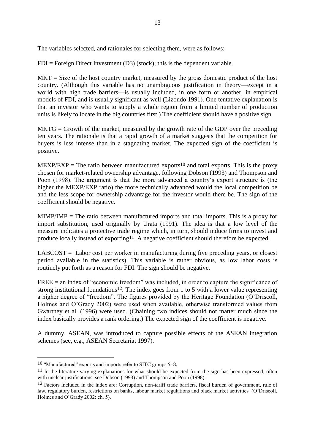The variables selected, and rationales for selecting them, were as follows:

 $FDI = Foreign Direct Investment (D3) (stock); this is the dependent variable.$ 

 $MKT = Size$  of the host country market, measured by the gross domestic product of the host country. (Although this variable has no unambiguous justification in theory—except in a world with high trade barriers—is usually included, in one form or another, in empirical models of FDI, and is usually significant as well (Lizondo 1991). One tentative explanation is that an investor who wants to supply a whole region from a limited number of production units is likely to locate in the big countries first.) The coefficient should have a positive sign.

 $MKTG = Growth of the market, measured by the growth rate of the GDP over the preceding$ ten years. The rationale is that a rapid growth of a market suggests that the competition for buyers is less intense than in a stagnating market. The expected sign of the coefficient is positive.

 $MEXP/EXP = The ratio between manufactured exports<sup>10</sup> and total exports. This is the proxy$ chosen for market-related ownership advantage, following Dobson (1993) and Thompson and Poon (1998). The argument is that the more advanced a country's export structure is (the higher the MEXP/EXP ratio) the more technically advanced would the local competition be and the less scope for ownership advantage for the investor would there be. The sign of the coefficient should be negative.

 $MIMP/IMP = The ratio between manufactured imports and total imports. This is a proxy for$ import substitution, used originally by Urata (1991). The idea is that a low level of the measure indicates a protective trade regime which, in turn, should induce firms to invest and produce locally instead of exporting<sup>11</sup>. A negative coefficient should therefore be expected.

 $LABCOST = Labor cost per worker in manufacturing during five preceding years, or closest$ period available in the statistics). This variable is rather obvious, as low labor costs is routinely put forth as a reason for FDI. The sign should be negative.

 $FREE = an index of "economic freedom" was included, in order to capture the significance of$ strong institutional foundations<sup>12</sup>. The index goes from 1 to 5 with a lower value representing a higher degree of "freedom". The figures provided by the Heritage Foundation (O'Driscoll, Holmes and O'Grady 2002) were used when available, otherwise transformed values from Gwartney et al. (1996) were used. (Chaining two indices should not matter much since the index basically provides a rank ordering.) The expected sign of the coefficient is negative.

A dummy, ASEAN, was introduced to capture possible effects of the ASEAN integration schemes (see, e.g., ASEAN Secretariat 1997).

<sup>10 &</sup>quot;Manufactured" exports and imports refer to SITC groups 5–8.

<sup>&</sup>lt;sup>11</sup> In the literature varying explanations for what should be expected from the sign has been expressed, often with unclear justifications, see Dobson (1993) and Thompson and Poon (1998).

<sup>&</sup>lt;sup>12</sup> Factors included in the index are: Corruption, non-tariff trade barriers, fiscal burden of government, rule of law, regulatory burden, restrictions on banks, labour market regulations and black market activities (O'Driscoll, Holmes and O'Grady 2002: ch. 5).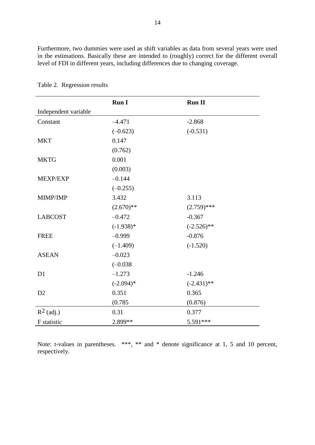Furthermore, two dummies were used as shift variables as data from several years were used in the estimations. Basically these are intended to (roughly) correct for the different overall level of FDI in different years, including differences due to changing coverage.

|                      | <b>Run I</b> | <b>Run II</b> |
|----------------------|--------------|---------------|
| Independent variable |              |               |
| Constant             | $-4.471$     | $-2.868$      |
|                      | $(-0.623)$   | $(-0.531)$    |
| <b>MKT</b>           | 0.147        |               |
|                      | (0.762)      |               |
| <b>MKTG</b>          | 0.001        |               |
|                      | (0.003)      |               |
| MEXP/EXP             | $-0.144$     |               |
|                      | $(-0.255)$   |               |
| MIMP/IMP             | 3.432        | 3.113         |
|                      | $(2.670)**$  | $(2.759)$ *** |
| <b>LABCOST</b>       | $-0.472$     | $-0.367$      |
|                      | $(-1.938)*$  | $(-2.526)$ ** |
| <b>FREE</b>          | $-0.999$     | $-0.876$      |
|                      | $(-1.409)$   | $(-1.520)$    |
| <b>ASEAN</b>         | $-0.023$     |               |
|                      | $(-0.038)$   |               |
| D1                   | $-1.273$     | $-1.246$      |
|                      | $(-2.094)*$  | $(-2.431)$ ** |
| D2                   | 0.351        | 0.365         |
|                      | (0.785)      | (0.876)       |
| $R^2$ (adj.)         | 0.31         | 0.377         |
| F statistic          | 2.899**      | 5.591***      |

Table 2. Regression results

Note: t-values in parentheses. \*\*\*, \*\* and \* denote significance at 1, 5 and 10 percent, respectively.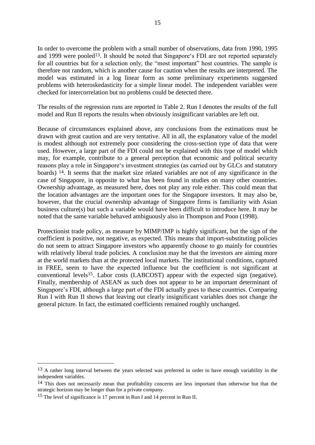In order to overcome the problem with a small number of observations, data from 1990, 1995 and 1999 were pooled<sup>13</sup>. It should be noted that Singapore's FDI are not reported separately for all countries but for a selection only, the "most important" host countries. The sample is therefore not random, which is another cause for caution when the results are interpreted. The model was estimated in a log linear form as some preliminary experiments suggested problems with heteroskedasticity for a simple linear model. The independent variables were checked for intercorrelation but no problems could be detected there.

The results of the regression runs are reported in Table 2. Run I denotes the results of the full model and Run II reports the results when obviously insignificant variables are left out.

Because of circumstances explained above, any conclusions from the estimations must be drawn with great caution and are very tentative. All in all, the explanatory value of the model is modest although not extremely poor considering the cross-section type of data that were used. However, a large part of the FDI could not be explained with this type of model which may, for example, contribute to a general perception that economic and political security reasons play a role in Singapore's investment strategies (as carried out by GLCs and statutory boards) 14. It seems that the market size related variables are not of any significance in the case of Singapore, in opposite to what has been found in studies on many other countries. Ownership advantage, as measured here, does not play any role either. This could mean that the location advantages are the important ones for the Singapore investors. It may also be, however, that the crucial ownership advantage of Singapore firms is familiarity with Asian business culture(s) but such a variable would have been difficult to introduce here. It may be noted that the same variable behaved ambiguously also in Thompson and Poon (1998).

Protectionist trade policy, as measure by MIMP/IMP is highly significant, but the sign of the coefficient is positive, not negative, as expected. This means that import-substituting policies do not seem to attract Singapore investors who apparently choose to go mainly for countries with relatively liberal trade policies. A conclusion may be that the investors are aiming more at the world markets than at the protected local markets. The institutional conditions, captured in FREE, seem to have the expected influence but the coefficient is not significant at conventional levels15. Labor costs (LABCOST) appear with the expected sign (negative). Finally, membership of ASEAN as such does not appear to be an important determinant of Singapore's FDI, although a large part of the FDI actually goes to these countries. Comparing Run I with Run II shows that leaving out clearly insignificant variables does not change the general picture. In fact, the estimated coefficients remained roughly unchanged.

<sup>&</sup>lt;sup>13</sup> A rather long interval between the years selected was preferred in order to have enough variability in the independent variables.

<sup>&</sup>lt;sup>14</sup> This does not necessarily mean that profitability concerns are less important than otherwise but that the strategic horizon may be longer than for a private company.

<sup>15</sup> The level of significance is 17 percent in Run I and 14 percent in Run II.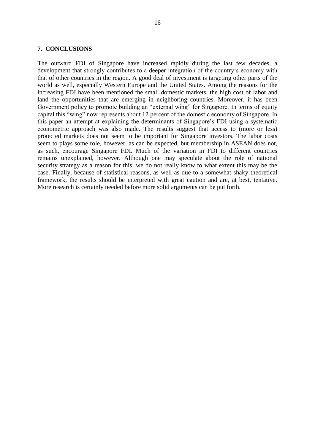#### **7. CONCLUSIONS**

The outward FDI of Singapore have increased rapidly during the last few decades, a development that strongly contributes to a deeper integration of the country's economy with that of other countries in the region. A good deal of investment is targeting other parts of the world as well, especially Western Europe and the United States. Among the reasons for the increasing FDI have been mentioned the small domestic markets, the high cost of labor and land the opportunities that are emerging in neighboring countries. Moreover, it has been Government policy to promote building an "external wing" for Singapore. In terms of equity capital this "wing" now represents about 12 percent of the domestic economy of Singapore. In this paper an attempt at explaining the determinants of Singapore's FDI using a systematic econometric approach was also made. The results suggest that access to (more or less) protected markets does not seem to be important for Singapore investors. The labor costs seem to plays some role, however, as can be expected, but membership in ASEAN does not, as such, encourage Singapore FDI. Much of the variation in FDI to different countries remains unexplained, however. Although one may speculate about the role of national security strategy as a reason for this, we do not really know to what extent this may be the case. Finally, because of statistical reasons, as well as due to a somewhat shaky theoretical framework, the results should be interpreted with great caution and are, at best, tentative. More research is certainly needed before more solid arguments can be put forth.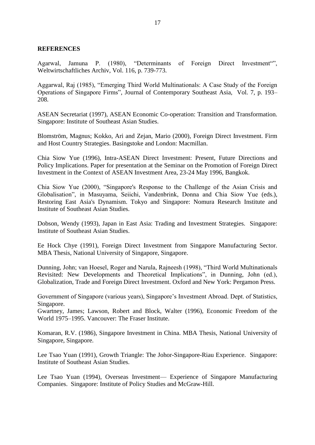## **REFERENCES**

Agarwal, Jamuna P. (1980), "Determinants of Foreign Direct Investment", Weltwirtschaftliches Archiv, Vol. 116, p. 739-773.

Aggarwal, Raj (1985), "Emerging Third World Multinationals: A Case Study of the Foreign Operations of Singapore Firms", Journal of Contemporary Southeast Asia, Vol. 7, p. 193– 208.

ASEAN Secretariat (1997), ASEAN Economic Co-operation: Transition and Transformation. Singapore: Institute of Southeast Asian Studies.

Blomström, Magnus; Kokko, Ari and Zejan, Mario (2000), Foreign Direct Investment. Firm and Host Country Strategies. Basingstoke and London: Macmillan.

Chia Siow Yue (1996), Intra-ASEAN Direct Investment: Present, Future Directions and Policy Implications. Paper for presentation at the Seminar on the Promotion of Foreign Direct Investment in the Context of ASEAN Investment Area, 23-24 May 1996, Bangkok.

Chia Siow Yue (2000), "Singapore's Response to the Challenge of the Asian Crisis and Globalisation", in Masuyama, Seiichi, Vandenbrink, Donna and Chia Siow Yue (eds.), Restoring East Asia's Dynamism. Tokyo and Singapore: Nomura Research Institute and Institute of Southeast Asian Studies.

Dobson, Wendy (1993), Japan in East Asia: Trading and Investment Strategies. Singapore: Institute of Southeast Asian Studies.

Ee Hock Chye (1991), Foreign Direct Investment from Singapore Manufacturing Sector. MBA Thesis, National University of Singapore, Singapore.

Dunning, John; van Hoesel, Roger and Narula, Rajneesh (1998), "Third World Multinationals Revisited: New Developments and Theoretical Implications", in Dunning, John (ed.), Globalization, Trade and Foreign Direct Investment. Oxford and New York: Pergamon Press.

Government of Singapore (various years), Singapore's Investment Abroad. Dept. of Statistics, Singapore.

Gwartney, James; Lawson, Robert and Block, Walter (1996), Economic Freedom of the World 1975–1995. Vancouver: The Fraser Institute.

Komaran, R.V. (1986), Singapore Investment in China. MBA Thesis, National University of Singapore, Singapore.

Lee Tsao Yuan (1991), Growth Triangle: The Johor-Singapore-Riau Experience. Singapore: Institute of Southeast Asian Studies.

Lee Tsao Yuan (1994), Overseas Investment— Experience of Singapore Manufacturing Companies. Singapore: Institute of Policy Studies and McGraw-Hill.